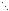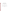# **SUPPORTING STATEMENT INFORMATION COLLECTION REQUEST**

 **for**

## **Public Involvement Activities Feedback Surveys**

**of**

## **The United States Environmental Protection Agency**

**January 2004**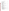## **Table of Contents**

|    | <b>Title</b>                                                                                                                                             | Page |
|----|----------------------------------------------------------------------------------------------------------------------------------------------------------|------|
| 1. |                                                                                                                                                          |      |
| 2. |                                                                                                                                                          |      |
| 3. | 3(b) Public Notice Required Prior to ICR Submission to OMB  6                                                                                            |      |
| 4. | (I) Data items, including record keeping requirements  8                                                                                                 |      |
| 5. | The Information Collected--Agency Activities, Collection Methodology,                                                                                    |      |
| 6. | (III) Capital/Start-up vs. Operations and Maintenance (O&M) Costs  18<br>6(d) Estimating the Respondent Universe and Total Burden and Costs  22<br>$($ l |      |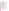## **List of Tables**

|               | Table 6-2 Respondent Universe, Total Burden and Costs  17                      |    |
|---------------|--------------------------------------------------------------------------------|----|
|               | Table 6-3 Agency Burden/Cost for CAG, Public Meeting, Public Hearing,          |    |
|               | Listening Session, Small Group Discussion and FACA Meeting Effectiveness       |    |
|               |                                                                                |    |
|               | Table 6-4 Agency Burden/Cost for CAG and FACA Process Effectiveness Surveys    |    |
|               |                                                                                |    |
|               | Table 6-5 Agency Burden/Cost for Public Meeting, Public Hearing and Listening  |    |
|               |                                                                                |    |
|               | Table 6-6 Agency Burden/Cost for CAG, FACA and Small Group Discussion          |    |
|               | Staff/Contractor Assessments and CAG and FACA Participant Process              |    |
|               |                                                                                |    |
|               | Table 6-7 Agency Burden/Cost for Negotiations Feedback Surveys (2 surveys)  21 |    |
|               |                                                                                |    |
|               |                                                                                |    |
|               |                                                                                |    |
|               | Exhibits - EPA Survey Instruments and Associated Materials  25                 |    |
| 1.            |                                                                                |    |
| a)            |                                                                                |    |
| b)            |                                                                                |    |
| c)            | Questionnaire for Feedback on the Effectiveness of a CAG Meeting               |    |
|               |                                                                                |    |
| d)            | Questionnaire for Feedback on the Effectiveness of a CAG Meeting               |    |
|               |                                                                                |    |
| e)            | Questionnaire for Feedback on the Overall Effectiveness of a CAG               |    |
|               |                                                                                |    |
| f)            | Questionnaire for Feedback on the Overall Effectiveness of a CAG Process       |    |
|               |                                                                                |    |
|               |                                                                                |    |
| 2.            |                                                                                |    |
| a)            |                                                                                |    |
| b)            | Checklist for Administering Questionnaires and Using Results  46               |    |
| $\mathsf{c})$ | Questionnaire for Feedback on the Effectiveness of a Public Meeting            |    |
|               |                                                                                | 48 |
| d)            | Questionnaire for Feedback on the Effectiveness of a Public Meeting            |    |
|               |                                                                                | 52 |
| e)            | Questionnaire for Feedback on the Effectiveness of Public Meeting Follow-Up    |    |
|               |                                                                                | 54 |
|               |                                                                                |    |
| 3.            |                                                                                |    |
| a)            |                                                                                |    |
| b)            | Checklist for Administering Questionnaires and Using Results  60               |    |
| $\mathsf{c})$ | Questionnaire for Feedback on the Effectiveness of a Public Hearing            |    |
|               |                                                                                |    |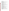|    | Questionnaire for Feedback on the Effectiveness of Public Hearing           |     |
|----|-----------------------------------------------------------------------------|-----|
| d) |                                                                             |     |
| e) | Questionnaire for Feedback on the Effectiveness of Public Hearing Follow-up |     |
|    |                                                                             |     |
| 4. |                                                                             |     |
| a) |                                                                             |     |
| b) |                                                                             |     |
| c) | Questionnaire for Feedback on the Effectiveness of a Listening Session      |     |
|    |                                                                             |     |
| d) | Questionnaire for Feedback on the Effectiveness of a Listening Session      |     |
|    |                                                                             |     |
| e) | Questionnaire for Effectiveness of Listening Session Follow-Up              |     |
|    |                                                                             |     |
| 5. | Small Discussion Group Session - User's Guide  83                           |     |
| a) |                                                                             |     |
| b) | Checklist for Administering Questionnaires and Using Results  87            |     |
| c) | Questionnaire for Feedback on the Effectiveness of a Small Discussion Group |     |
|    |                                                                             |     |
| d) | Questionnaire for Feedback on the Effectiveness of a Small Discussion Group |     |
|    |                                                                             |     |
| e) | Questionnaire for Effectiveness of Small Discussion Group Follow-Up         |     |
|    |                                                                             |     |
| 6. |                                                                             |     |
| a) |                                                                             |     |
| b) | Checklist for Administering Questionnaires and Using Results  101           |     |
| c) | Questionnaire for Feedback on Public Involvement in EPA's Stakeholder       |     |
|    |                                                                             | 103 |
| d) | Questionnaire for Feedback on Public Involvement in EPA's Stakeholder       |     |
|    |                                                                             | 106 |
| 7. | Federal Advisory Committee Act Committees - User's Guide  108               |     |
| a) |                                                                             | 109 |
| b) | Checklist for Administering Questionnaires and Using Results                | 112 |
| c) | Questionnaire for Feedback on the Effectiveness of a FACA Meeting           |     |
|    |                                                                             | 114 |
| d) | Questionnaire for Feedback on the Effectiveness of a FACA Meeting           |     |
|    |                                                                             | 116 |
| e) | Questionnaire for Feedback on the Overall Effectiveness of a FACA Process   |     |
|    |                                                                             | 117 |
| f) | Questionnaire for Feedback on the Overall Effectiveness of a FACA Process   |     |
|    |                                                                             | 119 |
| g) | Questionnaire for Feedback on the Overall Effectiveness of a FACA Committee |     |
|    |                                                                             | 122 |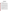## **U.S. ENVIRONMENTAL PROTECTION AGENCY VOLUNTARY FEEDBACK SURVEYS TO SUPPORT IMPROVEMENT OF EPA's PUBLIC INVOLVEMENT ACTIVITIES**

#### **1. Identification of the Information Collection**

**1(a) Title of the Information Collection:** Obtaining Feedback on Public Involvement Activities and Processes

#### **1(b) Short Characterization/Abstract**

On June 6, 2003, EPA issued its new Public Involvement Policy. Evaluation is one of the key elements in the Agency's "Framework for Implementing EPA's Public Involvement Policy." Critical to overall evaluation is feedback from participants involved in the public involvement activities. A well designed evaluation plan will make it possible for EPA to better understand: (1) if the Agency is taking the necessary steps to gather and consider public input; (2) the quality of the Agency's public involvement processes; (3) how to consistently and systematically learn and improve, and (4) how the Agency can be more accountable to the public*.*

The Environmental Protection Agency is seeking from the Office of Management and Budget (OMB) a generic clearance for public involvement activities surveys for a period of three years. The clearance will be used to conduct surveys about public involvement activities and processes. The surveys will help to identify participants' perceptions of their treatment during the activity, as well as the quality of pre-activity information, the activity and follow-up. All surveys will solicit opinions from participants in EPA public involvement activities on a voluntary basis, and will not involve "fact-finding" for the purposes of regulatory development or enforcement.

By seeking a generic clearance for a set of questions and questionnaires for each type of activity, EPA will have the flexibility to gather the views of participants and better determine the extent to which our public involvement activities meet their needs or need to be improved. EPA will not deviate from the approved questions and will report annually on the actual use of the series of surveys. The generic clearance will enable regional and program offices' staff to regularly use approved questionnaires and apply the resulting data to improve the way the Agency conducts its public involvement processes.

EPA's sponsoring organizations that use any of the various questionnaires will report their use of the survey instruments to the public involvement staff in the Office of Policy, Economics and Innovation within the Office of the Administrator. That staff has developed a Lotus Notes spreadsheet program that enables the survey users to enter data from the returned questionnaires and quickly process the results, report the findings and take appropriate action to improve their next similar sessions.

EPA estimates that users of the public involvement questionnaires (public meetings, public hearings, community advisory groups, Federal Advisory Committee Act groups, listening sessions, small discussion group sessions, stakeholder negotiations ) will request voluntary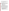responses from approximately 54,571 respondents for an estimated burden of 8,615 hours over the three-year period: 14,819 respondents and 2,343 hours in FY 2004; 18,382 respondents and 2,923 hours in FY 2005, and 21,370 respondents and 3,349 hours during FY 2006, for an average of .158 burden hours or 9.5 minutes per respondent overall.

#### **2. Need for and Use of the Collection**

#### **2a. Need/Authority for the Collection**

EPA's Public Involvement Policy states that the Assistant, Regional and Associate Administrators "Provide leadership and direction for their managers and staff by," among other responsibilities, "Evaluating the effectiveness of public involvement processes and taking action to improve these processes." To fulfill their responsibilities, the Agency's leadership and staff need a framework and tools to evaluate and measure how well EPA is implementing the policy's seven basic steps for conducting effective public involvement in both regulatory and non-regulatory processes:

- 1. Plan and budget for public involvement activities
- 2. Identify the interested and affected public
- 3. Consider providing technical or financial assistance to the public to facilitate involvement
- 4. Provide information and outreach to the public
- 5. Conduct public consultation and involvement activities
- 6. Review and use input, and provide feedback to the public
- 7. **Evaluate public involvement activities**

This ICR will be the cornerstone of a coordinated effort to track and improve the quality, effectiveness and consistency of EPA's public involvement activities and processes. Though individual programs and projects occasionally have conducted evaluations of their public involvement activities directly or through contractors, EPA has not encouraged a sustained agency-wide effort to determine the extent and quality of public involvement processes and activities and to improve their effectiveness for both participants and EPA. One of the findings of a 2003 survey of staff from a cross section of programs and regions from 39 projects was that "absent a conscientious evaluation effort, project staff are unlikely to learn from their past mistakes."

The ICR will be part of a suite of tools being developed by public involvement staff and practitioners across the Agency that staff (and other partners) can use to evaluate and measure public involvement activities on a consistent basis. That suite of tools will include:

- Commonly used performance measures to help staff and managers better identify whether public involvement practices/activities are performed and tools used appropriately, and whether they achieve the intended effects
- Training in the use of the tools, measures and techniques
- Survey/feedback templates that EPA staff can use to obtain input from the participating public for evaluating processes, activities and events
- A database/spreadsheet program enabling staff to enter data from returned questionnaires, easily determine results and determine what actions to take to improve events, activities or processes
- A central collection of evaluation instruments that EPA programs and regions have used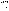to review their public involvement efforts, and

C **An OMB-approved Information Collection Request (ICR) to support gathering public involvement feedback based on a series of questionnaires that EPA staff can use to obtain input from the participating public for assessing processes, activities and events**

The Government Performance and Results Act of 1993 requires that agencies gather and use feedback. President Bush's Management Agenda underscores the need for citizencentered service delivery, increased satisfaction with government services and the ability to prove government is doing a better job through measuring outcomes. These questionnaires and the related tools will enable EPA to improve its public involvement processes, activities and events, enhance public involvement opportunities in ways the public will value and ultimately will improve EPA decision making by more consistently taking into account the values and views of the citizens we serve.

The key to building trust in a public involvement process is to pro-actively gauge participants' perceptions and aggressively act on what they say went well and what needed correction. The techniques for obtaining such feedback do not have to be complicated or difficult to administer; however, they do have to be timely and the changes made because of public input must be visible and effective.

Some of the feedback needs in public involvement parallel those in customer satisfaction. Therefore, staff developing this Public Involvement ICR used OMB's Resource Manual for Customer Surveys (dated October 1993), which provides guidance on obtaining quality survey results. They also used EPA's "Hearing the Voice of the Customer: Guidelines for Customer Feedback and Customer Satisfaction Measurement " (November 1998).

 EPA developed and used the "Guidelines" document to ensure proper design of EPA customer feedback and customer satisfaction measurement activities, increase the use and application of customer feedback, and build internal capacity to carry out those activities. The Guidelines use a five-stage model for feedback: Plan, Construct, Conduct, Analyze and Act. A long series of detailed questions supplement the Guidelines to further assist those planning on obtaining feedback. Portions of the Guidelines (available on the Internet @ http://www.epa.gov customerservice/guide.htm) will be included in public involvement feedback training.

The successful operation of the generic clearance for customer satisfaction surveys and the applications for 1997, 1999 and 2003 generic information collection requests served as the model for developing this application. Public involvement staff in the National Center for Environmental Innovation (NCEI) will develop, distribute and post on the http://www.epa.gov /publicinvolvement web site a fact sheet reflecting OMB's "Terms of Clearance" for the ICR, strongly stating restrictions on the use of this clearance. Burden will be defined on the surveys. The agency will display the OMB control number and clearance expiration date on every survey and will inform respondents of its legal significance (see 5 CFR 1320.5(b)). In addition, every questionnaire will have introductory information for staff clarifying its purpose and any use restrictions. The spreadsheet/database will also have instructions for staff use and the collection of results.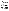#### **2(b) Practical Utility/Uses of the Data**

Information gathered from these surveys will continuously help EPA to build, validate and improve public involvement measurement systems. Survey results may be used to identify:

- 1) Needs and expectations of public involvement participants
- 2) Strengths and weaknesses of EPA involvement activities
- 3) Ideas or suggestions for improvement of EPA involvement activities from people who participate in them
- 4) Barriers to achieving improved public involvement processes and activities
- 5) Changes in what and how we measure the success of public involvement activities and processes
- 6) Common performance measures

By using these surveys, EPA personnel will be able to better define desired outcomes of public involvement processes and activities and determine whether the goals are met. For example, if achieving broad, inclusive involvement is a goal, there will be standards and questions to measure whether those involved believed that most (if not all) potential interests participated or had the opportunity to do so.

While the information will not be used for regulatory development, the results of public involvement surveys could lead to changes in those activities and in certain Agency processes and policies, and to development of additional guidance related to public involvement. Ultimately, these changes could result in citizen-driven improvements in the public involvement activities the Agency provides and the methods EPA uses to gather and consider public input.

In researching current literature for measures of success used to evaluate decision making processes and public involvement activities, EPA found many goals against which to measure attributes of processes, collaboration, decision quality, social and environmental outcomes. EPA recognizes that only retrospectively, after making a decision, can the Agency ask participants to evaluate the quality of the decision, the fairness of the process overall, or the degree to which their ideas are reflected in that decision. Measuring outcomes in the environment is much longer term and not in any way part of the work to be done under this ICR.

The Agency is determined to focus on gathering data that will enable us to improve activities that are component parts of larger decision-making processes. If we can use the information gathered to improve components of public involvement processes, people who participate in those events will have more meaningful and productive opportunities to provide input to the Agency.

Most of EPA's public involvement activities have similar components: finding the appropriate people to involve, ensuring they receive adequate notice of the opportunity to participate, providing information for their review, conducting the activity and doing follow-up after the event. In most cases asking those who participated how well EPA did [insert action ] on a scale from 1 to 6 (with 7, don't know, as the last alternate) will provide good information about what the Agency needs to improve before holding the next similar event.

The questionnaires are structured primarily to obtain quantitative data. Most questions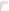are close-ended and use the Lichert Scale. EPA will also solicit some qualitative data using a small number of open-ended questions. Most of the qualitative questions ask for suggestions on how to improve an activity or process.

Achieving a performance standard of 75% positive responses (5 and above on a 6-point Lichert Scale) will be the first goal EPA uses as a measure of our success at engaging the public in Agency decision-making processes and related involvement activities. This goal will provide the necessary framework for management to use survey results.

Process questions can address the clarity of the stated goals and roles of the public and EPA, and focus on the overall process transparency. Questions address attributes of the actions leading to the event (publicity, information provision, access, etc.), the logistics (site convenience and comfort, time of day, equipment, provision for people with disabilities, etc) conduct of the event (courtesy, respect, equality, etc.) and ask for suggestions on how to improve the particular event or process. More areas covered in some of the of questionnaires follow.

## **Process**

- clear goals
- clear process
- clear roles for public and agency
- process transparency to participants

## **Appropriate people**

- diversity of views
- balance (on advisory groups)

#### **Information**

- accessibility of information and technical information
- clarity (understandable)
- quality
- timely provision of
- responsiveness to requests for

## **Conduct of event**

- courtesy
- respect
- equal treatment of all

#### $\bullet$ **Logistics**

- convenience
- timina
- length
- provision for people with disabilities

## **Effectiveness**

- each event
- overall process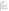- of staff or other support (FACA group, meeting facilitation)
- of technical assistance provided (FACA, CAG)
- capacity building among participants
- new alternatives from participants
- of personal participation
- otherwise unavailable information/innovative ideas/holistic views provided from participants

## **Completed process or decision**

- fair
- based on good science/good technical information
- economically and/or socially viable
- environmentally beneficial outcomes
- learning extended beyond participants to the general public (community capacity building)
- resolved conflict
- built trust
- considered public values

## **3. Non-duplication, Consultations, and Other Collection Criteria**

## **3(a) Non-duplication**

EPA staff who conduct public involvement activities will use the approved questions to learn how participants in their specific activities view various aspects of those activities. Therefore, the information collected will not overlap with other programmatic or satisfaction surveys. Every effort will be made to channel all public involvement related surveys through this ICR and to prevent misuse of this ICR for other purposes.

## **3(b) Public Notice Required Prior to ICR Submission to OMB**

EPA will conform to the requirement for public notice by publishing a preliminary and final Federal Register Notice concerning our intent under this ICR and requesting comment. On February 13, 2004 EPA published a first Federal Register Notice [Vol. 69, No. 30, OA–2003–0009, FRL–7618–8]. No comments were received.

## **3(c) Consultations**

EPA's National Center for Environmental Innovation (NCEI) public involvement staff requested input to this ICR application from practitioners across the Agency. This ICR was prepared in consultation with the Public Involvement Evaluation and Accountability Task Group of the Public Involvement Improvement Council and representatives from all organizations that responded to the opportunity to outline their possible uses of the public involvement questionnaires through the year 2006. This feedback was used to develop the estimates of staff and respondent burden. EPA contacted professional practitioners through their networks and organizations to request their comments during the period of review for the draft ICR.

## **3(d) Effects of Less Frequent Collection**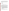This information collection could not be conducted less frequently. EPA will learn from participant reactions to and perceptions of public involvement activities that the Agency now provides in order to improve them. Programs will not survey all participants in every activity provided. There will be sufficient time between surveys to allow the actions taken in response to customer comments to show results. There are no technical or legal obstacles to reducing the burden.

#### **3(e) General Guidelines**

This ICR complies with OMB's general guidelines for the collection of information.

#### **3(f) Confidentiality**

Not applicable

#### **3(g) Sensitive Questions**

Feedback questionnaires in this ICR application will not be used to collect any sensitive data.

#### **4. The Respondents and the Information Requested**

#### **4(a) Respondents/SIC Codes**

The EPA, by the very nature of its mandate, serves very large and diverse groups that participate in our decision-making processes or could in some way be affected by EPA decisions. Participants in public involvement activities range from well known scientific experts to representatives of various interest groups, to individual business or property owners, local officials, interested young students and residents of environmental justice neighborhoods and tribal members. The term "the public" is used in the Public Involvement Policy in the broadest sense to include anyone, including both individuals and organizations, who may have an interest in an Agency decision. Appendix 2 of the Policy provides further definition:

"In addition to private individuals, "the public" includes, but is not limited to, representatives of consumer, environmental and other advocacy groups; environmental justice groups; indigenous peoples; minority and ethnic groups; business and industrial interests, including small businesses; elected and appointed public officials; the news media; trade, industrial, agricultural and labor organizations; public health, scientific and professional representatives and societies; civic and community associations; faith-based organizations; and research, university, education and governmental organizations and associations."

#### **4(b) Information Requested**

(I) Data items, including record keeping requirements

The Agency will maintain records of the surveys' use. Offices sponsoring the surveys will retain files of the surveys, responses and analysis. Since these surveys will seek to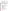measure public opinions on Agency public involvement activities, the surveys have not and will not involve respondents in extensive searching of existing sources, or reformatting information to submit to the Agency. The Agency does not anticipate any record keeping activities on the part of the public under this ICR.

## (II) Respondent Activities

EPA public involvement surveys will focus on the quality of the pre-event work, the conduct of the public participation opportunity provided and the speed and completeness of follow-up requested. All questionnaires will solicit qualitative feedback. Most questionnaires will be completed immediately following the public involvement opportunity before participants leave the event location. Several will be mailed or e-mailed to participants as follow-up to a single event or upon completion of a decision-making process. All will involve reading instructions and completing questionnaires; some will also require mailing questionnaires. The questionnaires will require ten minutes or less to complete.

## **5. The Information Collected Agency Activities, Collection Methodology, and Information Management**

## **5(a) Agency Activities.**

Agency activities associated with the collection of information include:

National Center for Environmental Innovation staff:

- Internal EPA review and approval of questionnaires (completed in 2003)
- Pretesting questionnaires submitted in this ICR application both internally and with less than 9 non-federal persons (completed 2003)

Headquarters Office/Region staff:

- C Selecting public involvement event type and the appropriate pre-approved questionnaire
- Assembling data sources (mailing lists, etc.) if necessary
- Providing copies of the questionnaire at events, or disseminating questionnaire to potential respondents after an event or process
- Gathering information from respondents
- Answering respondent questions, follow-up
- Reviewing data
- Recording submissions and analyzing results
- Preparing findings
- Storing and maintaining results
- Reporting overall results to NCEI to share internally (and possible post on the http://www.epa.gov/publicinvolvement Internet page)
- Taking actions to improve activities, events and processes

## **5(b) Collection Methodology and Information Management**

The following process will be established:

EPA's sponsoring organizations report to PI staff in the NCEI their planned use of the questionnaires; report changes in those plans.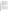- The database and spreadsheet program record the sponsoring office, point of contact, date, location, type of event and number of respondents.
- In all cases, the purpose of the surveys is to obtain feedback from participants in EPA public involvement activities and processes so EPA can consider and use their ideas to improve pubic involvement.
- Costs and burden to the Agency are estimated based on approximate time necessary for data entry and consideration of results for each questionnaire type
- Costs and burden to the respondents will be tracked using the database program to count uses of and respondents to each questionnaire.
- Complex statistical methods will not be used for the collections covered under this generic clearance. The spreadsheet/database will perform simple calculations for those who enter respondent data.
- Sponsoring organizations within EPA will maintain records of all the occasions they use the questionnaires. The database program and spreadsheet will streamline this record keeping burden. In general, survey results will be maintained for three years or until after follow-up activities have been completed.
- C EPA organizations will notify the public involvement staff in EPA's NCEI of their use of questionnaires, enter response data in the database program and periodically report follow-up actions taken based on survey results.
- The public involvement staff will share results, lessons learned and success stories with other offices and provide feedback on overall survey results. This base of experiences/ lessons-learned will be useful to state and federal partners that carry out public involvement activities and are seeking models for tracking and measuring success.
- **5 (c) Small Entity Flexibility.** Not applicable.

#### **5 (d) Collection Schedule**.

The collection schedule needs to be flexible. Public involvement event schedules often slip and can drastically change if a decision process becomes more complex or controversial than anticipated. Such changes are not predictable, so estimating with precision is difficult. Table 5-1 is a draft plan for the use of questionnaires for 2004/5 - 2006/7 (depending on approval date).

This application is based solely on good faith estimates that follow. The burden estimate is not precise since EPA has never before attempted to coordinate obtaining feedback from participants in involvement events across all programs and regions. The number of surveys and the actual burden could be quite small during the first year and build as offices and regions see the usefulness of the data collected.

Community Advisory Groups (CAGs) are not managed by EPA; however, the Superfund community involvement coordinators work to ensure that such groups are effective. Many of the groups would welcome help in improving their meetings and may make use of the meeting feedback form. There are approximately 70 active CAGs nationwide, with an average of 15 people.

Some of the CAGs meet as often as monthly; others meet only once a quarter. Were about 30% of the groups to use the forms every other meeting (6 or 2 times annually), there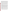could be up to 21 groups using the surveys (30% of  $70 = 21$ ). Of the 21 groups, eleven may use the survey 6 times; ten may use it two times equaling 86 uses  $(11 \times 6 + 10 \times 2 = 86)$  of the meeting survey. Were 30% of the groups to use the process effectiveness survey once a year, there could be 21 uses annually. Based on those projected uses, respondent estimates would equal 1605 respondents (86 x15 (1290) + 21 X 15 (315)). We project slight increases in use as CAG managers make meeting and process improvements and more groups choose to use the questionnaires.

EPA issues approximately 150 rules each year. Publication of a Federal Register Notice requesting public comment is required; sometimes public hearings are required; sometimes they are requested (RCRA). For the majority of rules and regulations, public comment is the only involvement activity. If one hearing were held for 30 of the rules (20%), and the feedback surveys were distributed at 50% of the events held, there would be approximately 15 uses of the public hearings survey the first year. There would be many fewer uses of the follow-up survey, perhaps as few as 5. Annually we project a steady, small increase in use for both instruments.

EPA's Center for Conflict Resolution and Prevention (CCRP) has a contract vehicle for agency-wide use that enables organizations to request services for convening and facilitating public involvement activities. The activities can be meetings, hearings, small group workshops/ discussions, listening sessions, FACA sessions, negotiations, etc. The mix of activities changes from year to year.

Based on rough estimates, and the expectation that contractors will be required (by the terms of the contract) to do formative evaluation, and to consider using the approved forms to obtain ongoing participant feedback to help gauge their success, we estimate contractors will distribute the various surveys to participants as many as 275 times. This estimate is based on the past history of the three five-year contracts. During each contract cycle there is a steady build up to approximately 100 active task orders in year three, and then a slow decline in the number of active task orders until the end of year five. The contract is about to be renewed.

About 40% of the 100 task orders support contractors who do mediation and other alternative dispute resolution techniques; the remaining 60% are for public involvement activities. Of the 60 task orders, approximately 50 focus on a single project; the remaining ten average five projects each  $(50 + 10 \times 5 = 100 \text{ projects})$ . Of the 100 projects, approximately 50 hold only one public involvement event; the remaining 50 have three to six events. If all contractors are asked to distribute the surveys following all events, up to 275 uses are projected (50 + 50 X 4.5 (events)).

EPA does not believe that it is realistic to expect that every contractor will distribute the surveys after every event to assess its effectiveness however, and will not require that they do so. We project about 70 - 90 uses per year of the various event surveys and we believe that contractors will administer fewer of the post event follow-up surveys under the 100 active task orders of the CCRP.

In addition to preparing surveys for participants, meeting and process effectiveness surveys were prepared for EPA staff and/or their contractors working directly on EPA's behalf (e.g., in a facilitation or significant oversight role) to obtain their perspectives on public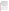involvement events. We intend to have contractors complete these forms at the end of meetings occasionally, at the end of a costly or complex process, or when a Federal Advisory Committee Act (FACA) advisory group is dissolved or finishes a long term project, particularly if a contractor has been involved throughout a multi-year process. Estimates include a few such assessments. Without contractor support, offices and regions sponsor the same types of events under community-based, watershed, voluntary, environmental justice, tribal and other types of projects and programs. Without an Agency-wide requirement to use the forms for a specific percent of all public involvement activities, EPA organizations will not widely adopt and use the surveys. However, if those who do so show continuous improvement in event outcomes and participant satisfaction, staff's voluntary use of the surveys should increase. Estimates reflect that expectation. We estimate that EPA/contractor use of the surveys will equal approximately 90 to 110 uses per year. 1

EPA has 26 FACA advisory groups, each with a designated federal official (DFO). Most FACAs are long term standing groups that provide advice on a wide variety of topics to programs and the Agency. Based on the number of meetings held annually in fiscal years 2000 through 2003 (reported in GSA database www.fido.gov/faca database), the annual average is 150 meetings. Were 60 percent of the events followed by use of the meeting questionnaire, we estimate approximately 90 uses of the FACA meeting effectiveness survey in the second year, slightly fewer (86) in 2004; slightly more (100) in 2006.

Until a FACA ends or a specific task of FACA input ends, there is no use for the process effectiveness questionnaire. Over the past four years 308 FACA reports with recommendations were issued. Since the number has been steadily decreasing (from 118 to 48), rather than use an average, we project a continued decline to not more than 40 reports in 2004. Annually, we expect not more than 15 uses of the process effectiveness questionnaire.

Annually, 26 DFOs will receive a request to assess the usefulness of their FACA's advice. (This survey does not require OMB approval since it is a federal official responding.)

| Questionnaires                                 | <b>Number of Uses</b> |      |      |  |
|------------------------------------------------|-----------------------|------|------|--|
|                                                | 2004                  | 2005 | 2006 |  |
| <b>Community Advisory Group Questionnaires</b> |                       |      |      |  |
| Meeting effectiveness (participant)            | 86                    | 90   | 100  |  |
| Meeting effectiveness (EPA/contractor)*        | 20                    | 20   | 20   |  |
| Process effectiveness (participant)            | 21                    | 23   | 25   |  |
| Process effectiveness (EPA/contractor)         | 5                     | 6    |      |  |
| <b>Public Meetings</b>                         |                       |      |      |  |

| Table 5 - 1 Planned Use of Questionnaires |  |  |  |  |
|-------------------------------------------|--|--|--|--|
|-------------------------------------------|--|--|--|--|

 $1$ To simplify the burden and cost estimates, and because we are unclear as to this point as to the ratio of the number of EPA versus representative contractors who will be using the questionnaires, we prepared all EPA/contractor questionnaires as if they were for non-federal respondents. The only assessment for which we did not develop a burden assessment is the questionnaire prepared for designated federal officials under FACA, who will be used only by EPA (non-federal) staff.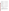| Meeting Effectiveness (participant)               | 100            | 130            | 150            |
|---------------------------------------------------|----------------|----------------|----------------|
| Meeting Effectiveness (EPA/contractor)            | 25             | 35             | 45             |
| Post Meeting Follow-up (participant)              | 20             | 25             | 30             |
| <b>Public Hearings</b>                            |                |                |                |
| Hearing Effectiveness (participant)               | 15             | 20             | 25             |
| Hearing Effectiveness (EPA/contractor)            | $\overline{4}$ | 8              | 10             |
| Post-Hearing Follow-up (participant)              | 5              | 10             | 12             |
| <b>Listening Sessions</b>                         |                |                |                |
| Listening Session Effectiveness (participant)     | 20             | 30             | 35             |
| Listening Session Effectiveness (EPA/contractor)  | 5              | $\overline{7}$ | 9              |
| Post-Session Follow-up (participant)              | 10             | 15             | 20             |
| <b>Small Group Discussion/Workshop Sessions</b>   |                |                |                |
| Discussion Session Effectiveness (participant)    | 20             | 25             | 30             |
| Discussion Session Effectiveness (EPA/contractor) | 10             | 10             | 10             |
| Post-Session Follow-Up (participant)              | 5              | 5              | 5              |
| <b>Stakeholder Negotiations</b>                   |                |                |                |
| Stakeholder Participants (participant)            | $\overline{2}$ | 3              | 4              |
| <b>Public Contributors</b>                        | $\overline{2}$ | 3              | $\overline{4}$ |
| <b>Federal Advisory Committee Act Groups</b>      |                |                |                |
| Meeting effectiveness (participant)               | 86             | 90             | 100            |
| Meeting effectiveness (EPA/contractor)            | 30             | 30             | 30             |
| Process effectiveness (participant)               | 15             | 15             | 15             |
| Process effectiveness (EPA/contractor)            | $\overline{2}$ | $\overline{2}$ | 2              |
| DFO annual assessment**                           | 26             | 26             | 26             |

\* EP A/contractor question naires were prepared as if they were for non-federal respondents. Only those contractors acting directly on behalf of EPA are qualified to fill out the EPA/contractor assessment questionnaires.

\*\* EPA may also use the DFO FACA assessment that OMB approved in GSA's 2002 application for all federal agencies with FACA groups.

#### **6. Estimating the Burden and the Cost of the Collection**

#### **6(a) Estimating Respondent Burden**.

Staff who developed the questionnaires did so knowing that respondent burden should be as low as possible in keeping with the Paperwork Reduction Act. The questionnaire designs are simple, convenient, easy to respond to and clear in content and purpose. At the end of a public event people are ready to start home and will not remain and respond if the questionnaires are long or complex. Therefore, questionnaires have limited scope and require a short time to complete.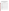Responding to the meeting and process effectiveness questionnaires (FACA, CAG, Meetings, Hearings, Listening Sessions, Small Group Discussions) averages about ten minutes. The questionnaires that focus on follow-up activities after those events take not more than 5 minutes to complete. The first stakeholder negotiation questionnaire takes 15 minutes to complete while the second requires 10 minutes. The estimate of respondent burden are shown below in Table 6-1 (a-c). The estimate of respondent burden was based on obtaining responses for questionnaire use as summarized in Table 5-1.

|                                                 | Minutes/<br>response (a) | Uses<br>(b)    | Responses/<br>use(c) | <b>Total responses</b><br>$(d=b*c)$ | <b>Burden hours</b><br>$(e= d* a/60)$ |
|-------------------------------------------------|--------------------------|----------------|----------------------|-------------------------------------|---------------------------------------|
| <b>Community Advisory Group Questionnaires</b>  |                          |                |                      |                                     |                                       |
| Meeting effectiveness (participant)             | 10                       | 107            | 15                   | 1,605                               | 267.5                                 |
| Meeting effectiveness (EPA/contractor)          | 10                       | 20             | 3                    | 60                                  | 10                                    |
| Process effectiveness (participant)             | 10                       | 21             | 15                   | 315                                 | 52.5                                  |
| Process effectiveness (EPA/contractor)          | 10                       | 5              | $\mathbf{1}$         | 5                                   | 0.8                                   |
| <b>Public Meetings</b>                          |                          |                |                      |                                     |                                       |
| Meeting Effectiveness (participant)             | 10                       | 100            | 50                   | 5,000                               | 833.3                                 |
| Meeting Effectiveness (EPA/contractor)          | 10                       | 25             | 5                    | 125                                 | 20.8                                  |
| Post Meeting Follow-up (participant)            | 5                        | 20             | 50                   | 1,000                               | 83.3                                  |
| <b>Public Hearings</b>                          |                          |                |                      |                                     |                                       |
| Hearing Effectiveness (participant)             | 10                       | 15             | 100                  | 1,500                               | 250                                   |
| Hearing Effectiveness (EPA/contractor)          | 10                       | $\overline{4}$ | 5                    | 20                                  | 3.3                                   |
| Post-Hearing Follow-up (participant)            | 5                        | 5              | 20                   | 100                                 | 8.3                                   |
| <b>Listening Sessions</b>                       |                          |                |                      |                                     |                                       |
| Session Effectiveness (participant)             | 10                       | 20             | 100                  | 2.000                               | 333.3                                 |
| Session Effectiveness (EPA/contractor)          | 10                       | 5              | 5                    | 25                                  | 4.2                                   |
| Post-Session Follow-up (participant)            | 5                        | 10             | 40                   | 400                                 | 33.3                                  |
| <b>Small Group Discussion/Workshop Sessions</b> |                          |                |                      |                                     |                                       |
| Discussion Session Effectiveness (participant)  | 10                       | 20             | 15                   | 300                                 | 50                                    |
| Session Effectiveness (EPA/contractor)          | 10                       | 10             | 4                    | 40                                  | 6.7                                   |
| Post-Session Follow-Up (participant)            | 5                        | 5              | 10                   | 50                                  | 4.2                                   |
| <b>Stakeholder Negotiations</b>                 |                          |                |                      |                                     |                                       |
| Stakeholder Participants (participant)          | 15                       | $\overline{2}$ | 12                   | 24                                  | 6.0                                   |
| Public Contributors                             | 10                       | $\overline{2}$ | 10                   | 20                                  | 3.3                                   |
| <b>Federal Advisory Committee Act Groups</b>    |                          |                |                      |                                     |                                       |
| Meeting effectiveness (participant)             | 10                       | 86             | 15                   | 1,290                               | 215                                   |
| Meeting effectiveness (EPA/contractor)          | 10                       | 30             | 20                   | 600                                 | 100                                   |

**Table 6-1 (a) Respondent Burden 2004**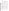| Process effectiveness (participant)    | 10               | 15  | 20                       | 300                      | 50    |
|----------------------------------------|------------------|-----|--------------------------|--------------------------|-------|
| Process effectiveness (EPA/contractor) | 10               | ົ   | 20                       | 40                       | 6.    |
| DFO annual assessment                  | <b>NO BURDEN</b> |     | $\overline{\phantom{a}}$ | $\overline{\phantom{0}}$ |       |
| 2004 Totals                            |                  | 529 |                          | 14,819                   | 2,343 |

|                                                 | Minutes/<br>response (a) | Uses<br>(b)    | Responses/<br>use(c) | <b>Total responses</b><br>$(d=b*c)$ | <b>Burden hours</b><br>$(e= d* a/60)$ |
|-------------------------------------------------|--------------------------|----------------|----------------------|-------------------------------------|---------------------------------------|
| <b>Community Advisory Group Questionnaires</b>  |                          |                |                      |                                     |                                       |
| Meeting effectiveness (participant)             | 10                       | 90             | 15                   | 1,350                               | 225                                   |
| Meeting effectiveness (EPA/contractor)          | 10                       | 20             | 3                    | 60                                  | 10                                    |
| Process effectiveness (participant)             | 10                       | 23             | 15                   | 345                                 | 57.5                                  |
| Process effectiveness (EPA/contractor)          | 10                       | 6              | $\mathbf{1}$         | 6                                   | 1.0                                   |
| <b>Public Meetings</b>                          |                          |                |                      |                                     |                                       |
| Meeting Effectiveness (participant)             | 10                       | 130            | 50                   | 6,500                               | 1,083                                 |
| Meeting Effectiveness (EPA/contractor)          | 10                       | 35             | 5                    | 175                                 | 29.2                                  |
| Post Meeting Follow-up (participant)            | $\overline{5}$           | 25             | 50                   | 1,250                               | 104.2                                 |
| <b>Public Hearings</b>                          |                          |                |                      |                                     |                                       |
| Hearing Effectiveness (participant)             | 10                       | 20             | 100                  | 2,000                               | 333.3                                 |
| Hearing Effectiveness (EPA/contractor)          | 10                       | 8              | 5                    | 40                                  | 6.7                                   |
| Post-Hearing Follow-up (participant)            | 5                        | 10             | 20                   | 200                                 | 16.7                                  |
| <b>Listening Sessions</b>                       |                          |                |                      |                                     |                                       |
| Session Effectiveness (participant)             | 10                       | 30             | 100                  | 3,000                               | 500                                   |
| Session Effectiveness (EP A/contractor)         | 10                       | $\overline{7}$ | 5                    | 35                                  | 5.8                                   |
| Post-Session Follow-up (participant)            | 5                        | 15             | 40                   | 600                                 | 50                                    |
| <b>Small Group Discussion/Workshop Sessions</b> |                          |                |                      |                                     |                                       |
| Discussion Session Effectiveness (participant)  | 15                       | 25             | 15                   | 375                                 | 93.8                                  |
| Session Effectiveness (EPA/contractor)          | 10                       | 10             | 4                    | 40                                  | 6.7                                   |
| Post-Session Follow-Up (participant)            | 5                        | 5              | 10                   | 50                                  | 4.2                                   |
| <b>Stakeholder Negotiations</b>                 |                          |                |                      |                                     |                                       |
| Stake holder Participants (participant)         | 15                       | 3              | 12                   | 36                                  | 9.0                                   |
| <b>Public Contributors</b>                      | 10                       | 3              | 10                   | 30                                  | 5.0                                   |
| <b>Federal Advisory Committee Act Groups</b>    |                          |                |                      |                                     |                                       |
| Meeting effectiveness (participant)             | 10                       | 90             | 15                   | 1,350                               | 225                                   |
| Meeting effectiveness (EPA/contractor)          | 10                       | 30             | 20                   | 600                                 | 100                                   |
| Process effectiveness (participant)             | 10                       | 15             | 20                   | 300                                 | 50                                    |

## **Table 6-1 (b) Respondent Burden 2005**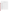| Process effectiveness (EPA/contractor) | 10               |     | 20 | 40     | ĥ.<br>v. |
|----------------------------------------|------------------|-----|----|--------|----------|
| DFO annual assessment                  | <b>NO BURDEN</b> |     |    |        |          |
| 2005 Totals                            |                  | 602 |    | 18,382 | 2,923    |

|                                                 | Minutes/<br>response (a) | Uses<br>(b)    | Responses/<br>use (c) | <b>Total responses</b><br>$(d=b*c)$ | <b>Burden hours</b><br>$(e= d* a/60)$ |
|-------------------------------------------------|--------------------------|----------------|-----------------------|-------------------------------------|---------------------------------------|
| <b>Community Advisory Group Questionnaires</b>  |                          |                |                       |                                     |                                       |
| Meeting effectiveness (participant)             | 10                       | 100            | 15                    | 1,500                               | 250                                   |
| Meeting effectiveness (EPA/contractor)          | 10                       | 20             | 3                     | 60                                  | 10                                    |
| Process effectiveness (participant)             | 10                       | 25             | 15                    | 375                                 | 62.5                                  |
| Process effectiveness (EPA/contractor)          | 10                       | $\overline{7}$ | $\mathbf{1}$          | $\overline{7}$                      | 1.2                                   |
| <b>Public Meetings</b>                          |                          |                |                       |                                     |                                       |
| Meeting Effectiveness (participant)             | 10                       | 150            | 50                    | 7,500                               | 1,250                                 |
| Meeting Effectiveness (EPA/contractor)          | 10                       | 45             | 5                     | 225                                 | 37.5                                  |
| Post Meeting Follow-up (participant)            | 5                        | 30             | 50                    | 1,500                               | 125                                   |
| <b>Public Hearings</b>                          |                          |                |                       |                                     |                                       |
| Hearing Effectiveness (participant)             | 10                       | 25             | 100                   | 2,500                               | 416.7                                 |
| Hearing Effectiveness (EPA/contractor)          | 10                       | 10             | 5                     | 50                                  | 8.3                                   |
| Post-Hearing Follow-up (participant)            | 5                        | 12             | 20                    | 240                                 | 20.0                                  |
| <b>Listening Sessions</b>                       |                          |                |                       |                                     |                                       |
| Session Effectiveness (participant)             | 10                       | 35             | 100                   | 3,500                               | 583.3                                 |
| Session Effectiveness (EP A/contractor)         | 10                       | 9              | 5                     | 45                                  | 7.5                                   |
| Post-Session Follow-up (participant)            | 5                        | 20             | 40                    | 800                                 | 66.7                                  |
| <b>Small Group Discussion/Workshop Sessions</b> |                          |                |                       |                                     |                                       |
| Discussion Session Effectiveness (participant)  | 10                       | 30             | 15                    | 450                                 | 75                                    |
| Session Effectiveness (EPA/contractor)          | 10                       | 10             | $\overline{4}$        | 40                                  | 6.7                                   |
| Post-Session Follow-Up (participant)            | 5                        | 5              | 10                    | 50                                  | 4.2                                   |
| <b>Stakeholder Negotiations</b>                 |                          |                |                       |                                     |                                       |
| Stake holder Participants (participant)         | 15                       | $\overline{4}$ | 12                    | 48                                  | 12                                    |
| <b>Public Contributors</b>                      | 10                       | 4              | 10                    | 40                                  | 6.7                                   |
| <b>Federal Advisory Committee Act Groups</b>    |                          |                |                       |                                     |                                       |
| Meeting effectiveness (participant)             | 10                       | 100            | 15                    | 1,500                               | 250                                   |
| Meeting effectiveness (EPA/contractor)          | 10                       | 30             | 20                    | 600                                 | 100                                   |
| Process effectiveness (participant)             | 10                       | 15             | 20                    | 300                                 | 50                                    |
| Process effectiveness (EPA/contractor)          | 10                       | $\overline{2}$ | 20                    | 40                                  | 6.7                                   |

## **Table 6-1 (c) Respondent Burden 2006**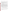| DFO annual assessment | <b>NO BURDEN</b> |     |            |       |
|-----------------------|------------------|-----|------------|-------|
| 2006 Totals           |                  | 688 | ,370<br>21 | 3,350 |

The EPA estimates respondent burden as follows: FY 2004: 2,343 hours respondent burden from 14,819 individuals; FY 2005: 2,923 hours respondent burden from 18,382 individuals; FY 2006: 3,350 hours respondent burden from 21,370 individuals. The three year total burden hours estimate is 8,616 and the total number of respondents projected is 54,571 for an average of .158 burden hours or 9.5 minutes per respondent.

## **6(b) Estimating Respondent Costs**

I Labor Costs. Since the respondents represent such a diverse group, EPA based wage estimates on the Bureau of Labor Statistics (BLS) of the U.S. Department of Labor average total compensation for "all full-time workers in private industry" as reported for March 2004.<sup>2</sup> Average total compensation (which includes benefits) equals \$26.50. EPA added 50% to this rate to reflect overhead for a wage of \$39.75.

There is no need for "developing, acquiring, or utilizing technology and systems for the purpose of collecting, validating or verifying information," "....disclosing and providing information," "adjusting the existing ways to comply with any previously applicable instructions or requirements," "training personnel to be able to respond to a collection of information," "searching data sources," nor a need for the respondents to keep records. Burden activities include only a few steps: reviewing instructions, responding and submitting (handing back or dropping into a collection box on site) or e-mailing/mailing responses when the surveys are not performed in person.

 Table 6-2 displays the total burden estimates for respondents for each type of survey and total estimated respondent costs. The average burden estimate of 0.158 hours (9.5 minutes) was derived by dividing the total hours for years one through three (8,616) by the total number of respondents projected (54,571). The average cost per response over the three-year period is estimated to be \$6.28.

|                                                | <b>Surveys</b><br>(a) | Respondents<br>(Thousands)<br>(b) | <b>Burden Hours/</b><br>Survey<br>(c) | Cost/<br><b>Survey</b><br>(d) | <b>Total Hours</b><br>$(e = b^*$<br>$1000*c)$ | <b>Total Costs</b><br>$(f=b^*$<br>$1000 * d$ |
|------------------------------------------------|-----------------------|-----------------------------------|---------------------------------------|-------------------------------|-----------------------------------------------|----------------------------------------------|
| <b>Community Advisory Group Questionnaires</b> |                       |                                   |                                       |                               |                                               |                                              |

#### **Table 6-2 Respondent Universe, Total Burden and Costs**

 $^2$ See Bureau of Labor Statistics. U.S. Department of Labor. Employer Costs for Employee Compensation. Table 11. Private industry, by occupational group and full-time and part-time status. March 2004. Accessed July 7, 2004 <http://stats.bls.gov/news.release/ecec.t11.htm>.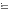| Meeting effectiveness (participant)                      | 297 | 4.455                    | 0.167                    | 6.64 | 743.9   | 29,581  |
|----------------------------------------------------------|-----|--------------------------|--------------------------|------|---------|---------|
| Meeting effectiveness (EPA/contractor)*                  | 60  | 0.18                     | 0.167                    | 6.64 | 30      | 1,195   |
| Process effectiveness (participant)                      | 69  | 1.035                    | 0.167                    | 6.64 | 172.8   | 6,872   |
| Process effectiveness (EPA/contractor)                   | 18  | 0.018                    | 0.167                    | 6.64 | 3       | 120     |
| CAG TOTAL                                                | 444 | 5.688                    | $\overline{\phantom{a}}$ |      | 948     | 37,768  |
| <b>Public Meetings</b>                                   |     |                          |                          |      |         |         |
| Meeting Effectiveness (participant)                      | 380 | 19                       | 0.167                    | 6.64 | 3,173   | 126,160 |
| Meeting Effectiveness (EPA/contractor)                   | 105 | 0.525                    | 0.167                    | 6.64 | 87.6    | 3,486   |
| Post Meeting Follow-up (participant)                     | 75  | 3.75                     | 0.083                    | 3.31 | 311.2   | 12,413  |
| PUBLIC MEETING TOTAL                                     | 560 | 23.275                   | $\overline{\phantom{a}}$ |      | 3,571   | 142,059 |
| <b>Public Hearings</b>                                   |     |                          |                          |      |         |         |
| Hearing Effectiveness (participant)                      | 60  | 6                        | 0.167                    | 6.64 | 1,002   | 39,840  |
| Hearing Effectiveness (EPA/contractor)                   | 22  | 0.11                     | .167                     | 6.64 | 18.3    | 730     |
| Post-Hearing Follow-up (participant)                     | 27  | 0.54                     | 0.083                    | 3.31 | 44.8    | 1.787   |
| PUBLIC HEARING TOTAL                                     | 109 | 6.65                     |                          |      | 1,065   | 42,357  |
| <b>Listening Sessions</b>                                |     |                          |                          |      |         |         |
| Session Effectiveness (participant)                      | 85  | 8.5                      | 0.167                    | 6.64 | 1,419.5 | 56,440  |
| Session Effectiveness (EPA/contractor)                   | 21  | 0.105                    | 0.167                    | 6.64 | 17.5    | 697     |
| Post-Session Follow-up (participant)                     | 45  | 1.8                      | 0.083                    | 3.31 | 149.4   | 5,958   |
| LISTENING SESSION TOTAL                                  | 151 | 10.405                   | $\overline{\phantom{a}}$ | ٠    | 1,586   | 63,095  |
| <b>Small Group Discussion/Workshop Sessions</b>          |     |                          |                          |      |         |         |
| <b>Discussion Session Effectiveness</b><br>(participant) | 75  | 1.125                    | 0.167                    | 6.64 | 187.8   | 7,470   |
| Session Effectiveness (EPA/contractor)                   | 30  | 0.12                     | 0.167                    | 6.64 | 20      | 797     |
| Post-Session Follow-Up (participant)                     | 15  | 0.15                     | 0.083                    | 3.31 | 12.4    | 497     |
| SMALL GROUP DISCUSSION TOTAL                             | 120 | 1.395                    | $\overline{\phantom{a}}$ |      | 220     | 8,764   |
| <b>Stakeholder Negotiations</b>                          |     |                          |                          |      |         |         |
| Stakeholder Participants (participant)                   | 9   | 0.108                    | 0.250                    | 9.94 | 27.0    | 1,074   |
| Public Contributors                                      | 9   | 0.09                     | 0.167                    | 6.64 | 15      | 598     |
| STAKEHOLDER NEGOTIATION TOTAL                            | 18  | 0.198                    | ÷,                       |      | 42      | 1,672   |
| <b>Federal Advisory Committee Act Groups</b>             |     |                          |                          |      |         |         |
| Meeting effectiveness (participant)                      | 276 | 4.14                     | 0.167                    | 6.64 | 691.3   | 27,490  |
| Meeting effectiveness (EPA/contractor)                   | 90  | 1.8                      | 0.167                    | 6.64 | 300.6   | 11,952  |
| Process effectiveness (participant)                      | 45  | 0.9                      | 0.167                    | 6.64 | 150.3   | 5,976   |
| Process effectiveness (EPA/contractor)                   | 6   | 0.12                     | 0.167                    | 6.64 | 20      | 797     |
| DFO annual assessment**                                  |     | $\overline{\phantom{a}}$ | ٠                        |      |         |         |
|                                                          |     |                          |                          |      |         |         |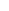| FACA TOTAL            | 417  | 6.96   |  | 164   | 46,215  |
|-----------------------|------|--------|--|-------|---------|
| QUESTIONNAIRE TO TALS | ,819 | 54.571 |  | 8,596 | 341,930 |

Because some of the activities are regularly held meetings (CAGs and FACAs), some respondents will complete the same questionnaire several times within the ICR period. This is necessary and appropriate since only they will be able to experience and comment on the effectiveness of the changes made in response to their input.

- II Capital and Operations and Maintenance Costs Not applicable.
- III Capital/Start-up vs. Operating and Maintenance (O & M) Costs Not applicable.
- IV Annualizing Capital Costs Not applicable.

## **6 (c) Estimating Agency Burden and Cost**.

Tables 6-3 through 6-7 provide the estimates for agency burden associated with each aggregated survey type for disseminating public involvement surveys and analyzing the results. Wage estimates were divided into three categories of labor: Management (GS-15), Technical (GS-13), and Clerical (GS-7). Wage estimates were based on OPM's General Schedule for January 2004.<sup>3</sup> The OPM base salary was increased by 160% to account for the benefits and overhead available to the federal employee. (See Table 5 -1 for yearly plan totals by survey instrument type.)

## **Table 6-3. Agency Burden/Cost for Meeting Effectiveness Surveys\***

|                                       |         | <b>Burden</b> | <b>Hours</b> |            |                   |
|---------------------------------------|---------|---------------|--------------|------------|-------------------|
| <b>Activities for each Survey Use</b> | Manager | Technical     | Clerical     |            | <b>Total Cost</b> |
|                                       | @ \$109 | @\$78         | @\$37        | Total Hrs. | (cost*hours)      |

 $^3$ See Office of Personnel Management. Salary Table 2004 - GS. 2004 General Schedule. Effective January 2004. Accessed July 8, 2004 <http://www.opm.gov/oca/04tables/html/gs\_h.asp>.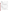| Gathering information                                      |     | 78   |           | .5      | 39.00    |
|------------------------------------------------------------|-----|------|-----------|---------|----------|
| Inputting data into database                               |     |      | 37        | .5      | 18.50    |
| Reviewing data; follow-ups                                 |     | 78   |           | 1.0     | 78.00    |
| Analyzing results                                          |     | 78   |           | 1.0     | 78.00    |
| Storing and maintaining results                            |     |      | 37        | $\cdot$ | 7.40     |
| Preparing survey findings                                  |     | 78   |           | .5      | 39.00    |
| Acting on results                                          | 109 | 78   |           | .75     | 74.00    |
| Total burden by position<br>(manager, technical, clerical) | .5  | 3.25 | $\cdot$ 7 |         |          |
| Total agency burden and cost<br>per survey use             |     |      |           | 4.45    | \$333.90 |

**\***These include meeting effectiveness surveys for CAGs, Public Meetings, Public Hearing, Listening Session, Small Group Discussion and FACA advisory groups (six surveys in total).

| <b>Activities for each Survey Use</b>                                                                                                                                             | Manager<br>@\$109 | <b>Burden</b><br>Technical<br>@\$78 | <b>Hours</b><br>Clerical<br>@\$37 | Total<br><b>Hours</b>                               | <b>Total Cost</b><br>(cost*hours)                          |
|-----------------------------------------------------------------------------------------------------------------------------------------------------------------------------------|-------------------|-------------------------------------|-----------------------------------|-----------------------------------------------------|------------------------------------------------------------|
| Gathering information<br>Inputting data into database<br>Reviewing data<br>Analyzing results<br>Storing and maintaining results<br>Preparing survey findings<br>Acting on results | 109<br>109        | 78<br>78<br>78<br>78<br>78          | 37<br>37                          | .5<br>.5<br>.5<br>.75<br>$\cdot$ 1<br>$.5\,$<br>.75 | 39.00<br>18.50<br>39.00<br>66.25<br>3.70<br>39.00<br>66.25 |
| <b>Total burden by position</b><br>(manager, technical, clerical)                                                                                                                 | $.5\,$            | 2.5                                 | .6                                |                                                     |                                                            |
| Total agency burden and cost<br>per survey use                                                                                                                                    |                   |                                     |                                   | 3.6                                                 | \$271.70                                                   |

**Table 6-4. Agency Burden/Cost for Process Effectiveness Surveys**\*

**\***These include process effectiveness surveys for CAGs and FACA advisory groups (two surveys in total).

#### **Table 6-5. Agency Burden/Cost for Follow-up Surveys**\*

|                                       |         | <b>Burden</b> | Hours    |             |                   |
|---------------------------------------|---------|---------------|----------|-------------|-------------------|
| <b>Activities for each Survey Use</b> | Manager | Technical     | Clerical | $\tau$ otal | <b>Total Cost</b> |
|                                       | @\$109  | @\$78         | @\$37    | Hours       | (cost*hours)      |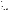| Gathering information                                      |         | 78  |         | .5  | 39.00    |
|------------------------------------------------------------|---------|-----|---------|-----|----------|
| Inputting data into database                               |         |     | 37      | .1  | 3.70     |
| Reviewing data                                             |         | 78  |         | .5  | 39.00    |
| Analyzing results                                          |         | 78  |         | .25 | 19.50    |
| Storing and maintaining results                            |         |     | 37      | .1  | 3.70     |
| Preparing survey findings                                  |         | 78  |         | .25 | 19.50    |
| Acting on results                                          | 109     | 78  |         | .4  | 37.40    |
| Total burden by position<br>(manager, technical, clerical) | $\cdot$ | 1.7 | $\cdot$ |     |          |
| Total agency burden and cost per<br>survey use             |         |     |         | 2.1 | \$161.80 |

\*These include follow-up surveys for Public Meetings, Public Hearings, Listening Sessions, and Small Discussion Group Session surveys (four surveys in total).

## **Table 6-6. Agency Burden/Cost for EPA/Contractor Meeting and Process Effectiveness Surveys\***

| <b>Activities for each Survey Use</b>                                                                                                                                             | Manager<br>@\$109 | <b>Burden</b><br>Technical<br>@\$78 | <b>Hours</b><br>Clerical<br>@ \$37 | Total<br><b>Hours</b>                                             | Total Cost<br>(cost*hours)                                |
|-----------------------------------------------------------------------------------------------------------------------------------------------------------------------------------|-------------------|-------------------------------------|------------------------------------|-------------------------------------------------------------------|-----------------------------------------------------------|
| Gathering information<br>Inputting data into database<br>Reviewing data<br>Analyzing results<br>Storing and maintaining results<br>Preparing survey findings<br>Acting on results | 109               | 78<br>78<br>78<br>78<br>78          | 37<br>37                           | .5<br>$\cdot$ 1<br>.5<br>.25<br>$\cdot$ 1<br>.25<br>$\mathcal{A}$ | 39.00<br>3.70<br>39.00<br>19.50<br>3.70<br>19.50<br>37.40 |
| <b>Total burden by position</b><br>(manager, technical, clerical)                                                                                                                 | $\cdot$           | 1.7                                 | $\cdot$                            |                                                                   |                                                           |
| Total agency burden and cost per<br>survey use                                                                                                                                    |                   |                                     |                                    | 2.1                                                               | \$161.80                                                  |

\*These include meeting and process effectiveness surveys for CAGs, FACA advisory groups, Public Meetings, Public Hearings, Listening Sessions, and Small Group Discussion Session Surveys (eight surveys in total; six for meeting effectiveness and two for process effectiveness.

#### **Table 6-7. Agency Burden/Cost for Stakeholder Negotiation Surveys\***

|                                       |                    | <b>Burden</b>      | Hours              |                |                                   |
|---------------------------------------|--------------------|--------------------|--------------------|----------------|-----------------------------------|
| <b>Activities for each Survey Use</b> | Manager<br>@ \$109 | Technical<br>@\$78 | Clerical @<br>\$37 | ™otal<br>Hours | <b>Total Cost</b><br>(cost*hours) |
|                                       |                    |                    |                    |                |                                   |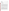| Gathering information                                      |        | 78  |         | .5         | 39.00    |
|------------------------------------------------------------|--------|-----|---------|------------|----------|
| Inputting data into database                               |        |     | 37      | $\cdot$ .2 | 7.40     |
| Reviewing data                                             |        | 78  |         | 1.0        | 78.00    |
| Analyzing results                                          |        | 78  |         | 1.0        | 78.00    |
| Storing and maintaining results                            |        |     | 37      | $\cdot$ .2 | 7.40     |
| Preparing survey findings                                  |        | 78  |         | 1.0        | 78.00    |
| Acting on results                                          | 109    | 78  |         | 1.0        | 93.50    |
| Total burden by position<br>(manager, technical, clerical) | $.5\,$ | 4.0 | $\cdot$ |            |          |
| Total agency burden and cost<br>per survey use             |        |     |         | 4.9        | \$381.30 |

\*These include stakeholder negotiation surveys for Stakeholder Participants and Public Contributors (two surveys in total).

A cross Agency staff group developed all questionnaires, so there are no additional costs of development and management review shown for using the surveys in any of the cost tables. Instructional materials accompany the surveys so their administration will take little staff time. Data entry and analysis are also streamlined when staff use the database spreadsheet package provided. Overall costs to the Agency for use of the feedback surveys is low and can be kept to a minimum because of the use of standardized surveys and data entry/analysis.

Survey development costs are estimated at approximately \$21,780 in EPA staff and intern salaries during 2002 and 2003. Costs are based on an average of 30 hours per survey X 22 surveys X \$33.00 an hour. This total includes the time of members of the cross Agency Public Involvement Evaluation and Accountability Task Group, interns and practitioners across EPA.

Through a survey and personal interviews the Task Group and supporting staff asked EPA practitioners to state the most commonly used public involvement activities, whether they might do more evaluation were it easier to do and the kinds of participant feedback that would be useful to them. Responses helped to define the types of activities for which to develop surveys and the types of questions to ask.

In addition, the Task Group used related input from EPA's 2001 two week Internetbased "Dialogue on Public Involvement in EPA Decisions." Dialogue participants noted problems with the timeliness of pre-event information, logistical problems at meetings, the quality of information provided and the treatment received before, at and after events. They stated that small improvements to logistics, personal treatment and information dissemination aspects of public involvement activities made because of their input could make large differences in participants' satisfaction with events, their belief in the process and their trust in the decisions.

Various Task Group members drafted the individual questionnaires which the full group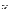reviewed several times. A sample fact sheet for staff on how to use the surveys was the basis for a series of Guides on how to administer and use the six different sets of feedback templates. Several of the questionnaires and guides as well as the data entry system were pretested in the field (with fewer than 9 non federal persons) and discussed in conference presentations. Suggested changes were incorporated.

A Task group member developed the initial three models for the database spreadsheet and instructions for its use. Using the models, an EPA intern completed the remaining Guides, and will complete the database spreadsheets and instructional texts. These should be in place by the Summer of 2004.

Based on past use of the Customer Satisfaction ICR over the years, the Agency is not likely to administer each questionnaire as many times as now anticipated. Programs may not be ready to test whether the changes they make to a process or activity issue as quickly as they now predict, and it may take longer that they expect to institute changes.

#### **6(d) Estimating the Respondent Universe and Total Burden and Costs Burden**

Table 6-1(a-c) provides information on each survey by instrument type, number of respondents expected, burden per response, number of uses (if more than one) and burden hours requested per survey. Table 6-2 summarizes the total burden and costs for respondents by type of survey. Activities have been grouped to reflect the various types of surveys and the total respondents expected for each instrument type. In all cases, the activities performed are only the time required to read, respond and transmit the survey instruments. EPA based wage estimates on the Bureau of Labor Statistics (BLS) of the U.S. Department of Labor average total compensation for "all full-time workers in private industry" as reported for March 2004.<sup>4</sup> Average total compensation (which includes benefits) equals \$26.50. EPA added 50% to this rate to reflect overhead for a wage of \$39.75.

#### **6(e) Bottom Line Burden Hours and Cost Tables**

I Respondent Tally See Table 6-1 (a-c).

II The Agency Tally See Table 6-8. EPA incurred approximately \$21,780 in development and EPA review/approval costs during 2002-2003 in developing and testing the questionnaires prior to the submittal of this ICR application. Questionnaires will be used repeatedly over the time this ICR is in place. Collation and analysis of data should become more efficient as staff learn how to use the database program to review responses. We expect a steady increase in staff efficiency utilizing the surveys and database to minimize increases in costs as use of the surveys grows. Total EPA tally for the three-year period is \$511, 691.

#### **Table 6-8 Aggregate Agency Burden and Cost**

 $^4$ See Bureau of Labor Statistics. U.S. Department of Labor. Employer Costs for Employee Compensation. Table 11. Private industry, by occupational group and full-time and part-time status. March 2004. Accessed July 7, 2004 <http://stats.bls.gov/news.release/ecec.t11.htm>.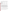|                                                                                                                                          | 2004                                  | 2005                                  | 2006                                  |
|------------------------------------------------------------------------------------------------------------------------------------------|---------------------------------------|---------------------------------------|---------------------------------------|
| <b>Surveys</b>                                                                                                                           | Number Uses x Cost /<br><b>Survey</b> | Number Uses x Cost /<br><b>Survey</b> | Number Uses x Cost /<br><b>Survey</b> |
| CAG, Public Meeting, Public<br>Hearing, Listening Session,<br>Small Group Discussion and<br><b>FACA Meeting Effectiveness</b><br>Surveys | 348 X \$333.90<br>\$116,197           | 385 X \$333.90<br>\$128,551           | 440 X \$333.90<br>\$146,916           |
| CAG and FACA Process<br><b>Effectiveness Surveys</b>                                                                                     | 36 X \$271.70<br>\$9.781              | 38 X \$271.70<br>\$10,324             | 40 X \$271.70<br>\$10,868             |
| Public Meeting, Public<br>Hearing and Listening<br>Session Follow-up Surveys                                                             | 40 X \$161.80<br>\$6,472              | 55X \$161.80<br>\$8,899               | 67 X \$161.80<br>\$10,840             |
| <b>EPA/Contractor Meeting</b><br><b>Effectiveness and Overall</b><br><b>Process Effectiveness</b><br>Surveys                             | 101 X \$161.80<br>\$16,341            | 112 X \$161.80<br>\$18,121            | 133 X \$161.80<br>\$21,519            |
| <b>Negotiations Feedback</b><br>Surveys                                                                                                  | 4 X \$381.30<br>\$1,525               | 6 X \$381.30<br>\$2,287               | 8 X \$381.30<br>\$3,050               |
| Total                                                                                                                                    | \$150,316                             | \$168,182                             | \$193,193                             |

III Variations in the Annual Bottom Line EPA burden hour projections are: FY 2004: 2,343 hours respondent burden from 14,819 individuals; FY 2005: 2,923 hours respondent burden from 18,382 individuals; FY 2006: 3,350 hours respondent burden from 21,370 individuals. Development costs which occurred prior to the use of any questionnaires do not factor into Agency survey administration costs, since all surveys will be pre-approved.

IV Reasons for Change in Burden EPA expects to see a steady growth in the use of the surveys as programs and regions learn how to use them and the database supporting them, and to better apply the information they obtain to improve public involvement processes and events. During the three years of this ICR, there should be small increases in the costs for administering surveys, analyzing data and acting on the findings due to more usage and salary increases.

|  |  |  | Table 6-9 Aggregate Agency and Respondents Burden/Cost* |
|--|--|--|---------------------------------------------------------|
|--|--|--|---------------------------------------------------------|

|             | 2004      | 2005      | 2006      | Aggre<br>gate |
|-------------|-----------|-----------|-----------|---------------|
| Respondents | \$93,296  | \$115,159 | \$133,404 | \$341,859     |
| Agency      | \$150,316 | \$168,182 | \$193,193 | \$511,691     |

\*In addition to the cost the agency expects to incur over the three-year period to administer the questionnaires, EPA incurred a cost of \$21,780 to develop them (see page 21).